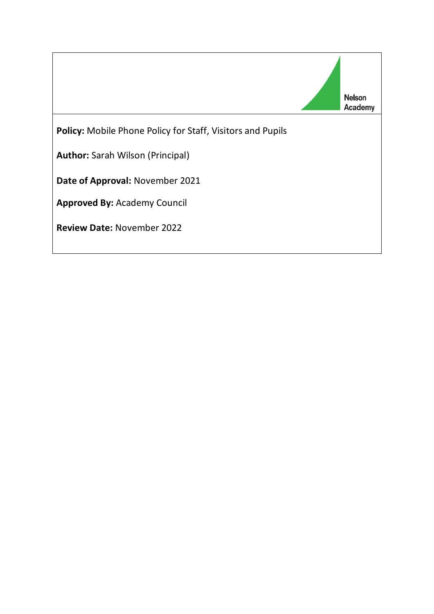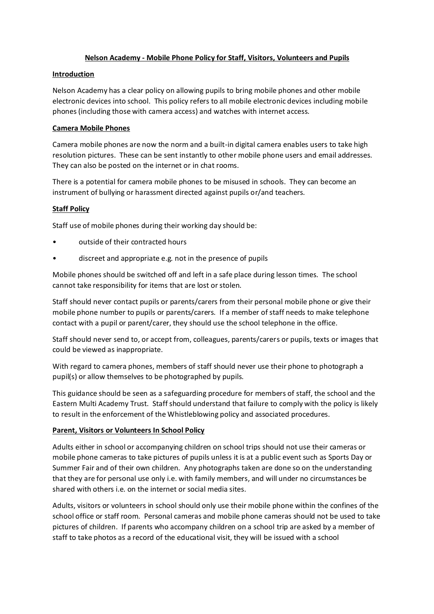## **Nelson Academy - Mobile Phone Policy for Staff, Visitors, Volunteers and Pupils**

## **Introduction**

Nelson Academy has a clear policy on allowing pupils to bring mobile phones and other mobile electronic devices into school. This policy refers to all mobile electronic devices including mobile phones (including those with camera access) and watches with internet access.

## **Camera Mobile Phones**

Camera mobile phones are now the norm and a built-in digital camera enables users to take high resolution pictures. These can be sent instantly to other mobile phone users and email addresses. They can also be posted on the internet or in chat rooms.

There is a potential for camera mobile phones to be misused in schools. They can become an instrument of bullying or harassment directed against pupils or/and teachers.

## **Staff Policy**

Staff use of mobile phones during their working day should be:

- outside of their contracted hours
- discreet and appropriate e.g. not in the presence of pupils

Mobile phones should be switched off and left in a safe place during lesson times. The school cannot take responsibility for items that are lost or stolen.

Staff should never contact pupils or parents/carers from their personal mobile phone or give their mobile phone number to pupils or parents/carers. If a member of staff needs to make telephone contact with a pupil or parent/carer, they should use the school telephone in the office.

Staff should never send to, or accept from, colleagues, parents/carers or pupils, texts or images that could be viewed as inappropriate.

With regard to camera phones, members of staff should never use their phone to photograph a pupil(s) or allow themselves to be photographed by pupils.

This guidance should be seen as a safeguarding procedure for members of staff, the school and the Eastern Multi Academy Trust. Staff should understand that failure to comply with the policy is likely to result in the enforcement of the Whistleblowing policy and associated procedures.

#### **Parent, Visitors or Volunteers In School Policy**

Adults either in school or accompanying children on school trips should not use their cameras or mobile phone cameras to take pictures of pupils unless it is at a public event such as Sports Day or Summer Fair and of their own children. Any photographs taken are done so on the understanding that they are for personal use only i.e. with family members, and will under no circumstances be shared with others i.e. on the internet or social media sites.

Adults, visitors or volunteers in school should only use their mobile phone within the confines of the school office or staff room. Personal cameras and mobile phone cameras should not be used to take pictures of children. If parents who accompany children on a school trip are asked by a member of staff to take photos as a record of the educational visit, they will be issued with a school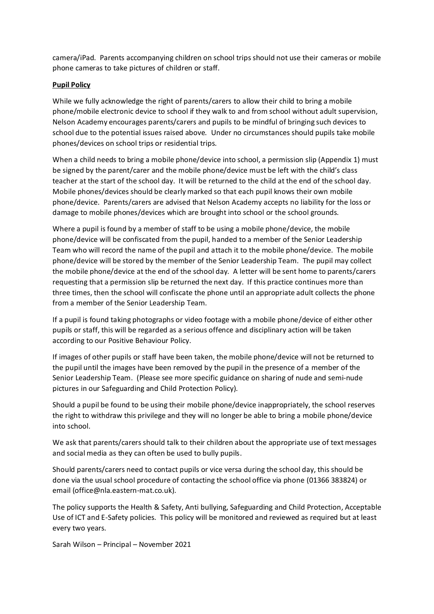camera/iPad. Parents accompanying children on school trips should not use their cameras or mobile phone cameras to take pictures of children or staff.

## **Pupil Policy**

While we fully acknowledge the right of parents/carers to allow their child to bring a mobile phone/mobile electronic device to school if they walk to and from school without adult supervision, Nelson Academy encourages parents/carers and pupils to be mindful of bringing such devices to school due to the potential issues raised above. Under no circumstances should pupils take mobile phones/devices on school trips or residential trips.

When a child needs to bring a mobile phone/device into school, a permission slip (Appendix 1) must be signed by the parent/carer and the mobile phone/device must be left with the child's class teacher at the start of the school day. It will be returned to the child at the end of the school day. Mobile phones/devices should be clearly marked so that each pupil knows their own mobile phone/device. Parents/carers are advised that Nelson Academy accepts no liability for the loss or damage to mobile phones/devices which are brought into school or the school grounds.

Where a pupil is found by a member of staff to be using a mobile phone/device, the mobile phone/device will be confiscated from the pupil, handed to a member of the Senior Leadership Team who will record the name of the pupil and attach it to the mobile phone/device. The mobile phone/device will be stored by the member of the Senior Leadership Team. The pupil may collect the mobile phone/device at the end of the school day. A letter will be sent home to parents/carers requesting that a permission slip be returned the next day. If this practice continues more than three times, then the school will confiscate the phone until an appropriate adult collects the phone from a member of the Senior Leadership Team.

If a pupil is found taking photographs or video footage with a mobile phone/device of either other pupils or staff, this will be regarded as a serious offence and disciplinary action will be taken according to our Positive Behaviour Policy.

If images of other pupils or staff have been taken, the mobile phone/device will not be returned to the pupil until the images have been removed by the pupil in the presence of a member of the Senior Leadership Team. (Please see more specific guidance on sharing of nude and semi-nude pictures in our Safeguarding and Child Protection Policy).

Should a pupil be found to be using their mobile phone/device inappropriately, the school reserves the right to withdraw this privilege and they will no longer be able to bring a mobile phone/device into school.

We ask that parents/carers should talk to their children about the appropriate use of text messages and social media as they can often be used to bully pupils.

Should parents/carers need to contact pupils or vice versa during the school day, this should be done via the usual school procedure of contacting the school office via phone (01366 383824) or email (office@nla.eastern-mat.co.uk).

The policy supports the Health & Safety, Anti bullying, Safeguarding and Child Protection, Acceptable Use of ICT and E-Safety policies. This policy will be monitored and reviewed as required but at least every two years.

Sarah Wilson – Principal – November 2021